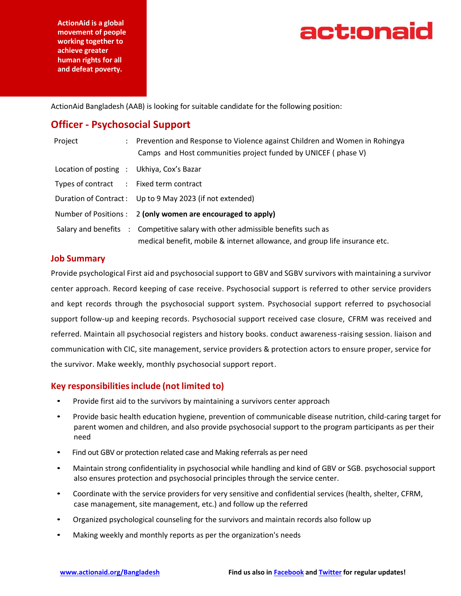**ActionAid is a global movement of people working together to achieve greater human rights for all and defeat poverty.**



ActionAid Bangladesh (AAB) is looking for suitable candidate for the following position:

## **Officer - Psychosocial Support**

| Project                                   | : Prevention and Response to Violence against Children and Women in Rohingya<br>Camps and Host communities project funded by UNICEF (phase V)                  |
|-------------------------------------------|----------------------------------------------------------------------------------------------------------------------------------------------------------------|
| Location of posting : Ukhiya, Cox's Bazar |                                                                                                                                                                |
| Types of contract : Fixed term contract   |                                                                                                                                                                |
|                                           | Duration of Contract: Up to 9 May 2023 (if not extended)                                                                                                       |
|                                           | Number of Positions : 2 (only women are encouraged to apply)                                                                                                   |
|                                           | Salary and benefits : Competitive salary with other admissible benefits such as<br>medical benefit, mobile & internet allowance, and group life insurance etc. |

#### **Job Summary**

Provide psychological First aid and psychosocial support to GBV and SGBV survivors with maintaining a survivor center approach. Record keeping of case receive. Psychosocial support is referred to other service providers and kept records through the psychosocial support system. Psychosocial support referred to psychosocial support follow-up and keeping records. Psychosocial support received case closure, CFRM was received and referred. Maintain all psychosocial registers and history books. conduct awareness-raising session. liaison and communication with CIC, site management, service providers & protection actors to ensure proper, service for the survivor. Make weekly, monthly psychosocial support report.

#### **Key responsibilitiesinclude (not limited to)**

- Provide first aid to the survivors by maintaining a survivors center approach
- Provide basic health education hygiene, prevention of communicable disease nutrition, child-caring target for parent women and children, and also provide psychosocial support to the program participants as per their need
- Find out GBV or protection related case and Making referrals as per need
- Maintain strong confidentiality in psychosocial while handling and kind of GBV or SGB. psychosocial support also ensures protection and psychosocial principles through the service center.
- Coordinate with the service providers for very sensitive and confidential services (health, shelter, CFRM, case management, site management, etc.) and follow up the referred
- Organized psychological counseling for the survivors and maintain records also follow up
- Making weekly and monthly reports as per the organization's needs